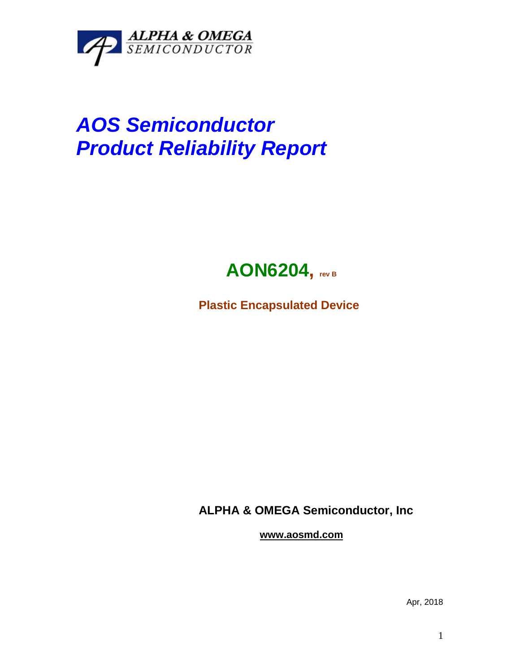

## *AOS Semiconductor Product Reliability Report*



**Plastic Encapsulated Device**

**ALPHA & OMEGA Semiconductor, Inc**

**www.aosmd.com**

Apr, 2018